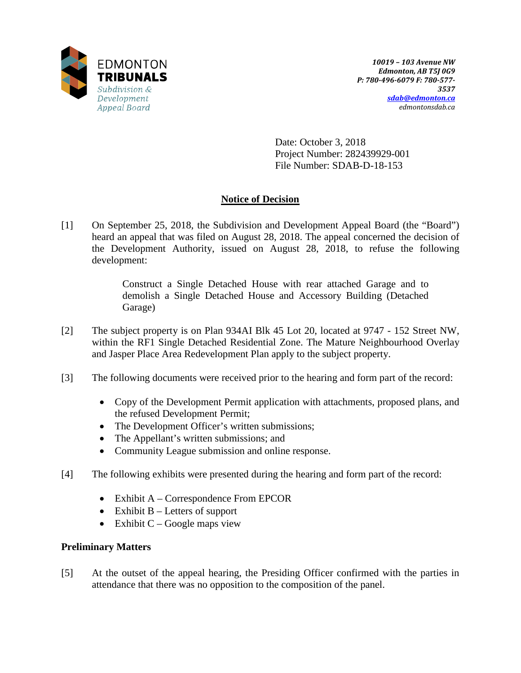

Date: October 3, 2018 Project Number: 282439929-001 File Number: SDAB-D-18-153

## **Notice of Decision**

[1] On September 25, 2018, the Subdivision and Development Appeal Board (the "Board") heard an appeal that was filed on August 28, 2018. The appeal concerned the decision of the Development Authority, issued on August 28, 2018, to refuse the following development:

> Construct a Single Detached House with rear attached Garage and to demolish a Single Detached House and Accessory Building (Detached Garage)

- [2] The subject property is on Plan 934AI Blk 45 Lot 20, located at 9747 152 Street NW, within the RF1 Single Detached Residential Zone. The Mature Neighbourhood Overlay and Jasper Place Area Redevelopment Plan apply to the subject property.
- [3] The following documents were received prior to the hearing and form part of the record:
	- Copy of the Development Permit application with attachments, proposed plans, and the refused Development Permit;
	- The Development Officer's written submissions;
	- The Appellant's written submissions; and
	- Community League submission and online response.
- [4] The following exhibits were presented during the hearing and form part of the record:
	- Exhibit A Correspondence From EPCOR
	- Exhibit  $B -$  Letters of support
	- Exhibit  $C Google$  maps view

### **Preliminary Matters**

[5] At the outset of the appeal hearing, the Presiding Officer confirmed with the parties in attendance that there was no opposition to the composition of the panel.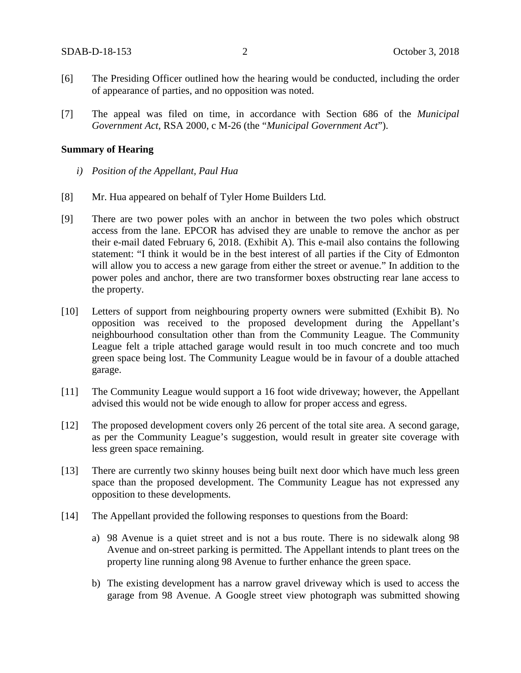- [6] The Presiding Officer outlined how the hearing would be conducted, including the order of appearance of parties, and no opposition was noted.
- [7] The appeal was filed on time, in accordance with Section 686 of the *Municipal Government Act*, RSA 2000, c M-26 (the "*Municipal Government Act*").

#### **Summary of Hearing**

- *i) Position of the Appellant, Paul Hua*
- [8] Mr. Hua appeared on behalf of Tyler Home Builders Ltd.
- [9] There are two power poles with an anchor in between the two poles which obstruct access from the lane. EPCOR has advised they are unable to remove the anchor as per their e-mail dated February 6, 2018. (Exhibit A). This e-mail also contains the following statement: "I think it would be in the best interest of all parties if the City of Edmonton will allow you to access a new garage from either the street or avenue." In addition to the power poles and anchor, there are two transformer boxes obstructing rear lane access to the property.
- [10] Letters of support from neighbouring property owners were submitted (Exhibit B). No opposition was received to the proposed development during the Appellant's neighbourhood consultation other than from the Community League. The Community League felt a triple attached garage would result in too much concrete and too much green space being lost. The Community League would be in favour of a double attached garage.
- [11] The Community League would support a 16 foot wide driveway; however, the Appellant advised this would not be wide enough to allow for proper access and egress.
- [12] The proposed development covers only 26 percent of the total site area. A second garage, as per the Community League's suggestion, would result in greater site coverage with less green space remaining.
- [13] There are currently two skinny houses being built next door which have much less green space than the proposed development. The Community League has not expressed any opposition to these developments.
- [14] The Appellant provided the following responses to questions from the Board:
	- a) 98 Avenue is a quiet street and is not a bus route. There is no sidewalk along 98 Avenue and on-street parking is permitted. The Appellant intends to plant trees on the property line running along 98 Avenue to further enhance the green space.
	- b) The existing development has a narrow gravel driveway which is used to access the garage from 98 Avenue. A Google street view photograph was submitted showing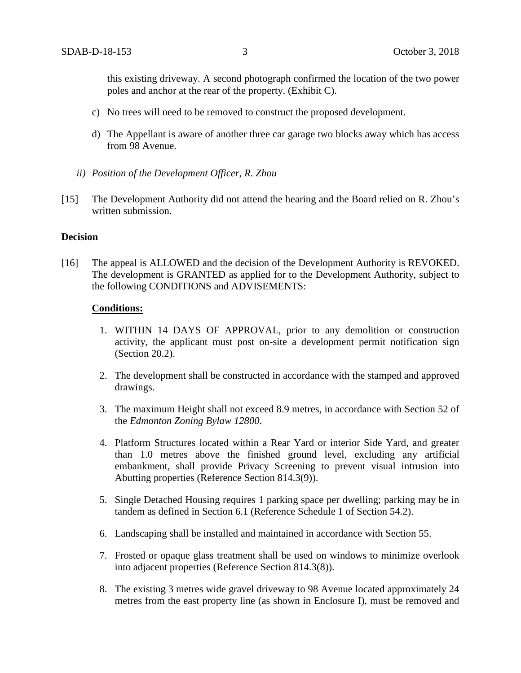this existing driveway. A second photograph confirmed the location of the two power poles and anchor at the rear of the property. (Exhibit C).

- c) No trees will need to be removed to construct the proposed development.
- d) The Appellant is aware of another three car garage two blocks away which has access from 98 Avenue.
- *ii) Position of the Development Officer, R. Zhou*
- [15] The Development Authority did not attend the hearing and the Board relied on R. Zhou's written submission.

#### **Decision**

[16] The appeal is ALLOWED and the decision of the Development Authority is REVOKED. The development is GRANTED as applied for to the Development Authority, subject to the following CONDITIONS and ADVISEMENTS:

#### **Conditions:**

- 1. WITHIN 14 DAYS OF APPROVAL, prior to any demolition or construction activity, the applicant must post on-site a development permit notification sign (Section 20.2).
- 2. The development shall be constructed in accordance with the stamped and approved drawings.
- 3. The maximum Height shall not exceed 8.9 metres, in accordance with Section 52 of the *Edmonton Zoning Bylaw 12800*.
- 4. Platform Structures located within a Rear Yard or interior Side Yard, and greater than 1.0 metres above the finished ground level, excluding any artificial embankment, shall provide Privacy Screening to prevent visual intrusion into Abutting properties (Reference Section 814.3(9)).
- 5. Single Detached Housing requires 1 parking space per dwelling; parking may be in tandem as defined in Section 6.1 (Reference Schedule 1 of Section 54.2).
- 6. Landscaping shall be installed and maintained in accordance with Section 55.
- 7. Frosted or opaque glass treatment shall be used on windows to minimize overlook into adjacent properties (Reference Section 814.3(8)).
- 8. The existing 3 metres wide gravel driveway to 98 Avenue located approximately 24 metres from the east property line (as shown in Enclosure I), must be removed and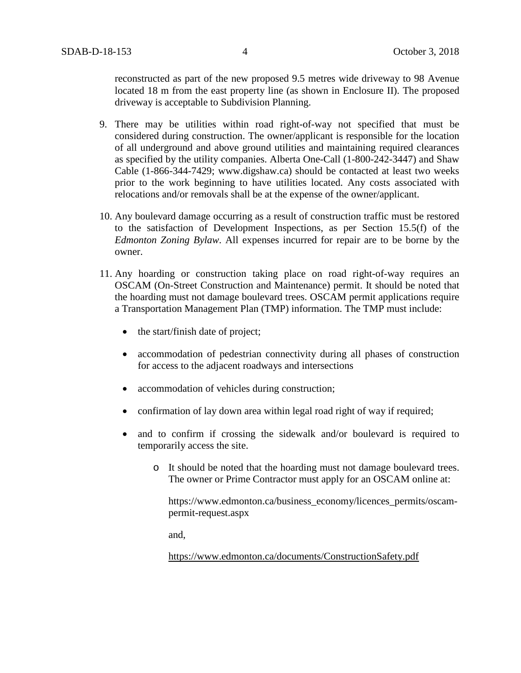reconstructed as part of the new proposed 9.5 metres wide driveway to 98 Avenue located 18 m from the east property line (as shown in Enclosure II). The proposed driveway is acceptable to Subdivision Planning.

- 9. There may be utilities within road right-of-way not specified that must be considered during construction. The owner/applicant is responsible for the location of all underground and above ground utilities and maintaining required clearances as specified by the utility companies. Alberta One-Call (1-800-242-3447) and Shaw Cable (1-866-344-7429; www.digshaw.ca) should be contacted at least two weeks prior to the work beginning to have utilities located. Any costs associated with relocations and/or removals shall be at the expense of the owner/applicant.
- 10. Any boulevard damage occurring as a result of construction traffic must be restored to the satisfaction of Development Inspections, as per Section 15.5(f) of the *Edmonton Zoning Bylaw*. All expenses incurred for repair are to be borne by the owner.
- 11. Any hoarding or construction taking place on road right-of-way requires an OSCAM (On-Street Construction and Maintenance) permit. It should be noted that the hoarding must not damage boulevard trees. OSCAM permit applications require a Transportation Management Plan (TMP) information. The TMP must include:
	- the start/finish date of project;
	- accommodation of pedestrian connectivity during all phases of construction for access to the adjacent roadways and intersections
	- accommodation of vehicles during construction;
	- confirmation of lay down area within legal road right of way if required;
	- and to confirm if crossing the sidewalk and/or boulevard is required to temporarily access the site.
		- o It should be noted that the hoarding must not damage boulevard trees. The owner or Prime Contractor must apply for an OSCAM online at:

https://www.edmonton.ca/business\_economy/licences\_permits/oscampermit-request.aspx

and,

<https://www.edmonton.ca/documents/ConstructionSafety.pdf>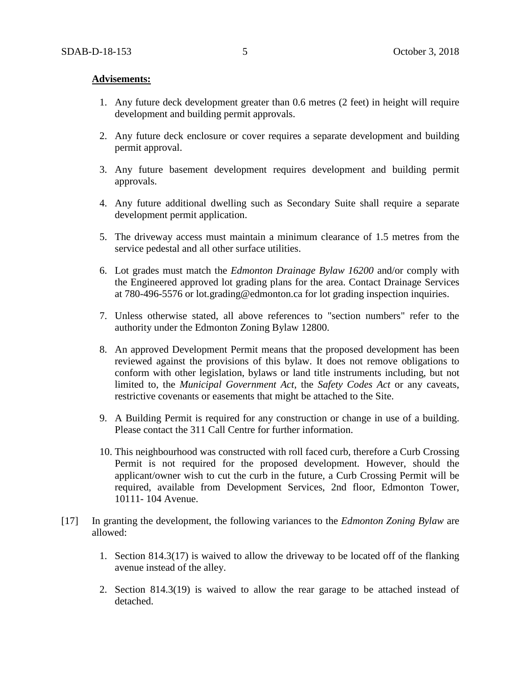#### **Advisements:**

- 1. Any future deck development greater than 0.6 metres (2 feet) in height will require development and building permit approvals.
- 2. Any future deck enclosure or cover requires a separate development and building permit approval.
- 3. Any future basement development requires development and building permit approvals.
- 4. Any future additional dwelling such as Secondary Suite shall require a separate development permit application.
- 5. The driveway access must maintain a minimum clearance of 1.5 metres from the service pedestal and all other surface utilities.
- 6. Lot grades must match the *Edmonton Drainage Bylaw 16200* and/or comply with the Engineered approved lot grading plans for the area. Contact Drainage Services at 780-496-5576 or lot.grading@edmonton.ca for lot grading inspection inquiries.
- 7. Unless otherwise stated, all above references to "section numbers" refer to the authority under the Edmonton Zoning Bylaw 12800.
- 8. An approved Development Permit means that the proposed development has been reviewed against the provisions of this bylaw. It does not remove obligations to conform with other legislation, bylaws or land title instruments including, but not limited to, the *Municipal Government Act*, the *Safety Codes Act* or any caveats, restrictive covenants or easements that might be attached to the Site.
- 9. A Building Permit is required for any construction or change in use of a building. Please contact the 311 Call Centre for further information.
- 10. This neighbourhood was constructed with roll faced curb, therefore a Curb Crossing Permit is not required for the proposed development. However, should the applicant/owner wish to cut the curb in the future, a Curb Crossing Permit will be required, available from Development Services, 2nd floor, Edmonton Tower, 10111- 104 Avenue.
- [17] In granting the development, the following variances to the *Edmonton Zoning Bylaw* are allowed:
	- 1. Section 814.3(17) is waived to allow the driveway to be located off of the flanking avenue instead of the alley.
	- 2. Section 814.3(19) is waived to allow the rear garage to be attached instead of detached.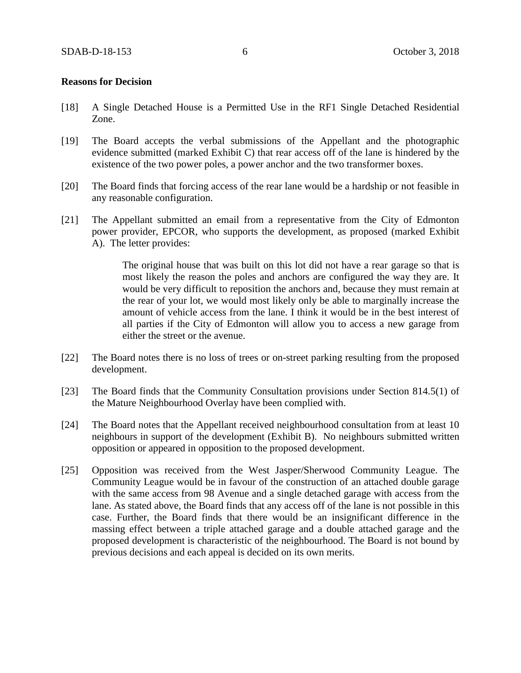#### **Reasons for Decision**

- [18] A Single Detached House is a Permitted Use in the RF1 Single Detached Residential Zone.
- [19] The Board accepts the verbal submissions of the Appellant and the photographic evidence submitted (marked Exhibit C) that rear access off of the lane is hindered by the existence of the two power poles, a power anchor and the two transformer boxes.
- [20] The Board finds that forcing access of the rear lane would be a hardship or not feasible in any reasonable configuration.
- [21] The Appellant submitted an email from a representative from the City of Edmonton power provider, EPCOR, who supports the development, as proposed (marked Exhibit A). The letter provides:

The original house that was built on this lot did not have a rear garage so that is most likely the reason the poles and anchors are configured the way they are. It would be very difficult to reposition the anchors and, because they must remain at the rear of your lot, we would most likely only be able to marginally increase the amount of vehicle access from the lane. I think it would be in the best interest of all parties if the City of Edmonton will allow you to access a new garage from either the street or the avenue.

- [22] The Board notes there is no loss of trees or on-street parking resulting from the proposed development.
- [23] The Board finds that the Community Consultation provisions under Section 814.5(1) of the Mature Neighbourhood Overlay have been complied with.
- [24] The Board notes that the Appellant received neighbourhood consultation from at least 10 neighbours in support of the development (Exhibit B). No neighbours submitted written opposition or appeared in opposition to the proposed development.
- [25] Opposition was received from the West Jasper/Sherwood Community League. The Community League would be in favour of the construction of an attached double garage with the same access from 98 Avenue and a single detached garage with access from the lane. As stated above, the Board finds that any access off of the lane is not possible in this case. Further, the Board finds that there would be an insignificant difference in the massing effect between a triple attached garage and a double attached garage and the proposed development is characteristic of the neighbourhood. The Board is not bound by previous decisions and each appeal is decided on its own merits.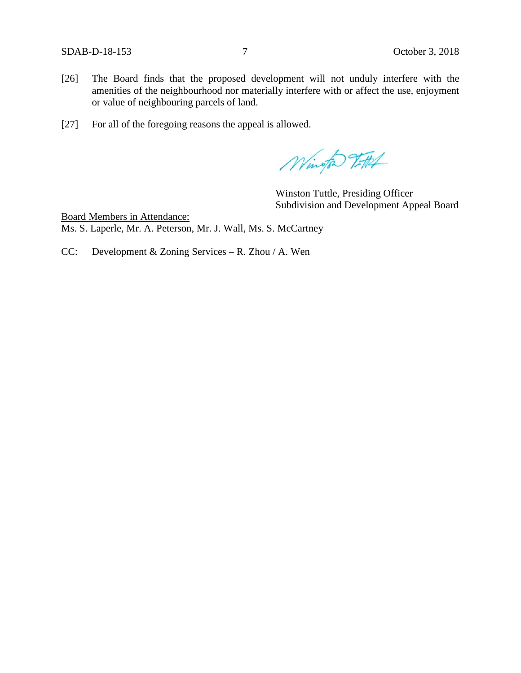- [26] The Board finds that the proposed development will not unduly interfere with the amenities of the neighbourhood nor materially interfere with or affect the use, enjoyment or value of neighbouring parcels of land.
- [27] For all of the foregoing reasons the appeal is allowed.

Wington 7-114

Winston Tuttle, Presiding Officer Subdivision and Development Appeal Board

Board Members in Attendance: Ms. S. Laperle, Mr. A. Peterson, Mr. J. Wall, Ms. S. McCartney

CC: Development & Zoning Services – R. Zhou / A. Wen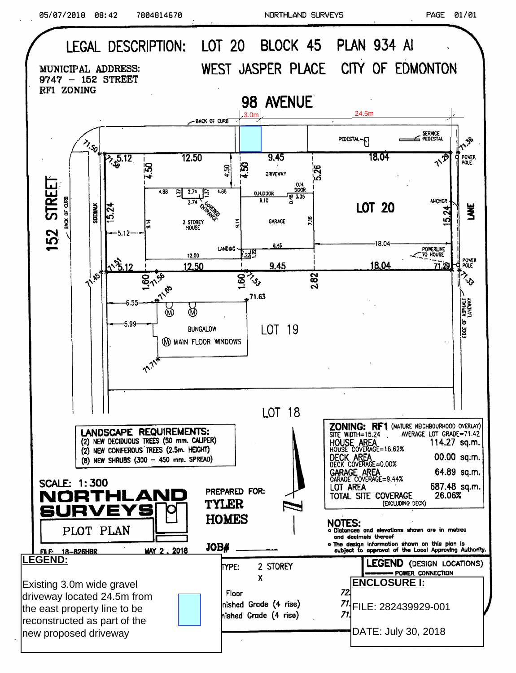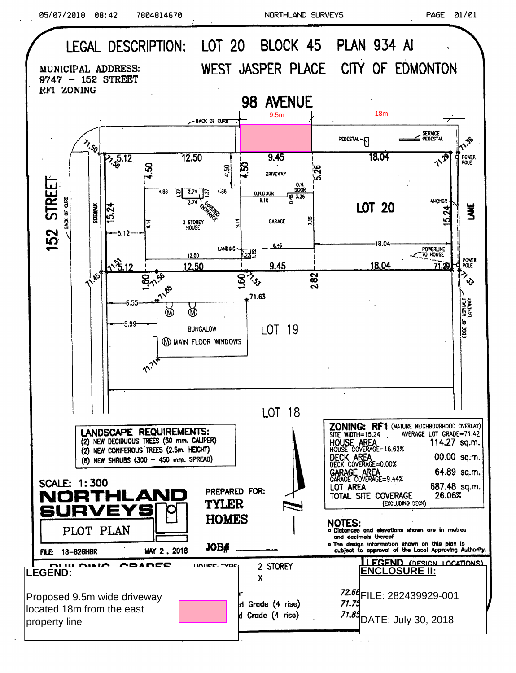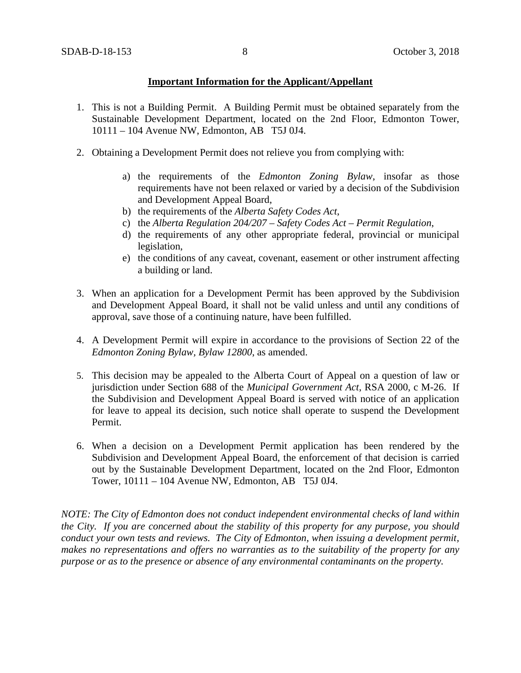#### **Important Information for the Applicant/Appellant**

- 1. This is not a Building Permit. A Building Permit must be obtained separately from the Sustainable Development Department, located on the 2nd Floor, Edmonton Tower, 10111 – 104 Avenue NW, Edmonton, AB T5J 0J4.
- 2. Obtaining a Development Permit does not relieve you from complying with:
	- a) the requirements of the *Edmonton Zoning Bylaw*, insofar as those requirements have not been relaxed or varied by a decision of the Subdivision and Development Appeal Board,
	- b) the requirements of the *Alberta Safety Codes Act*,
	- c) the *Alberta Regulation 204/207 – Safety Codes Act – Permit Regulation*,
	- d) the requirements of any other appropriate federal, provincial or municipal legislation,
	- e) the conditions of any caveat, covenant, easement or other instrument affecting a building or land.
- 3. When an application for a Development Permit has been approved by the Subdivision and Development Appeal Board, it shall not be valid unless and until any conditions of approval, save those of a continuing nature, have been fulfilled.
- 4. A Development Permit will expire in accordance to the provisions of Section 22 of the *Edmonton Zoning Bylaw, Bylaw 12800*, as amended.
- 5. This decision may be appealed to the Alberta Court of Appeal on a question of law or jurisdiction under Section 688 of the *Municipal Government Act*, RSA 2000, c M-26. If the Subdivision and Development Appeal Board is served with notice of an application for leave to appeal its decision, such notice shall operate to suspend the Development Permit.
- 6. When a decision on a Development Permit application has been rendered by the Subdivision and Development Appeal Board, the enforcement of that decision is carried out by the Sustainable Development Department, located on the 2nd Floor, Edmonton Tower, 10111 – 104 Avenue NW, Edmonton, AB T5J 0J4.

*NOTE: The City of Edmonton does not conduct independent environmental checks of land within the City. If you are concerned about the stability of this property for any purpose, you should conduct your own tests and reviews. The City of Edmonton, when issuing a development permit, makes no representations and offers no warranties as to the suitability of the property for any purpose or as to the presence or absence of any environmental contaminants on the property.*